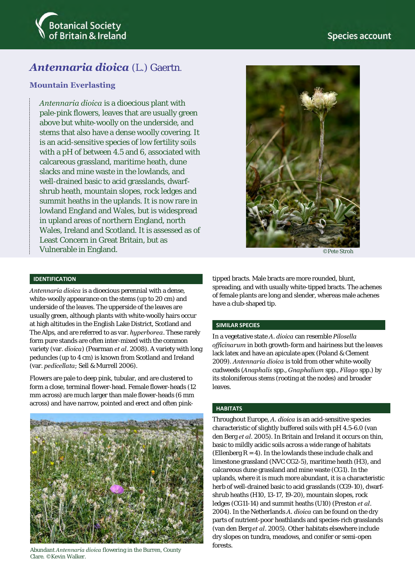

# *Antennaria dioica* (L.) Gaertn.

# **Mountain Everlasting**

*Antennaria dioica* is a dioecious plant with pale-pink flowers, leaves that are usually green above but white-woolly on the underside, and stems that also have a dense woolly covering. It is an acid-sensitive species of low fertility soils with a pH of between 4.5 and 6, associated with calcareous grassland, maritime heath, dune slacks and mine waste in the lowlands, and well-drained basic to acid grasslands, dwarfshrub heath, mountain slopes, rock ledges and summit heaths in the uplands. It is now rare in lowland England and Wales, but is widespread in upland areas of northern England, north Wales, Ireland and Scotland. It is assessed as of Least Concern in Great Britain, but as Vulnerable in England.



©Pete Stroh

# **IDENTIFICATION**

*Antennaria dioica* is a dioecious perennial with a dense, white-woolly appearance on the stems (up to 20 cm) and underside of the leaves. The upperside of the leaves are usually green, although plants with white-woolly hairs occur at high altitudes in the English Lake District, Scotland and The Alps, and are referred to as var. *hyperborea*. These rarely form pure stands are often inter-mixed with the common variety (var. *dioica*) (Pearman *et al*. 2008). A variety with long peduncles (up to 4 cm) is known from Scotland and Ireland (var. *pedicellata*; Sell & Murrell 2006).

Flowers are pale to deep pink, tubular, and are clustered to form a close, terminal flower-head. Female flower-heads (12 mm across) are much larger than male flower-heads (6 mm across) and have narrow, pointed and erect and often pink-



Abundant *Antennaria dioica* flowering in the Burren, County Clare. ©Kevin Walker.

tipped bracts. Male bracts are more rounded, blunt, spreading, and with usually white-tipped bracts. The achenes of female plants are long and slender, whereas male achenes have a club-shaped tip.

#### **SIMILAR SPECIES**

In a vegetative state *A. dioica* can resemble *Pilosella officinarum* in both growth-form and hairiness but the leaves lack latex and have an apiculate apex (Poland & Clement 2009). *Antennaria dioica* is told from other white-woolly cudweeds (*Anaphalis* spp., *Gnaphalium* spp., *Filago* spp.) by its stoloniferous stems (rooting at the nodes) and broader leaves.

#### **HABITATS**

Throughout Europe, *A. dioica* is an acid-sensitive species characteristic of slightly buffered soils with pH 4.5-6.0 (van den Berg *et al*. 2005). In Britain and Ireland it occurs on thin, basic to mildly acidic soils across a wide range of habitats (Ellenberg  $R = 4$ ). In the lowlands these include chalk and limestone grassland (NVC CG2-5), maritime heath (H3), and calcareous dune grassland and mine waste (CG1). In the uplands, where it is much more abundant, it is a characteristic herb of well-drained basic to acid grasslands (CG9-10), dwarfshrub heaths (H10, 13-17, 19-20), mountain slopes, rock ledges (CG11-14) and summit heaths (U10) (Preston *et al*. 2004). In the Netherlands *A. dioica* can be found on the dry parts of nutrient-poor heathlands and species-rich grasslands (van den Berg *et al*. 2005). Other habitats elsewhere include dry slopes on tundra, meadows, and conifer or semi-open forests.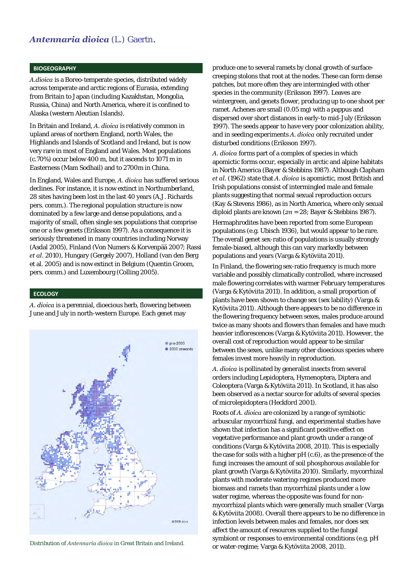# *Antennaria dioica* (L.) Gaertn.

#### **BIOGEOGRAPHY**

*A.dioica* is a Boreo-temperate species, distributed widely across temperate and arctic regions of Eurasia, extending from Britain to Japan (including Kazakhstan, Mongolia, Russia, China) and North America, where it is confined to Alaska (western Aleutian Islands).

In Britain and Ireland, *A. dioica* is relatively common in upland areas of northern England, north Wales, the Highlands and Islands of Scotland and Ireland, but is now very rare in most of England and Wales. Most populations (c.70%) occur below 400 m, but it ascends to 1071 m in Easterness (Mam Sodhail) and to 2700m in China.

In England, Wales and Europe, *A. dioica* has suffered serious declines. For instance, it is now extinct in Northumberland, 28 sites having been lost in the last 40 years (A.J. Richards pers. comm.). The regional population structure is now dominated by a few large and dense populations, and a majority of small, often single sex populations that comprise one or a few genets (Eriksson 1997). As a consequence it is seriously threatened in many countries including Norway (Asdal 2005), Finland (Von Numers & Korvenpää 2007; Rassi *et al*. 2010), Hungary (Gergely 2007), Holland (van den Berg et al. 2005) and is now extinct in Belgium (Quentin Groom, pers. comm.) and Luxembourg (Colling 2005).

#### **ECOLOGY**

*A. dioica* is a perennial, dioecious herb, flowering between June and July in north-western Europe. Each genet may



produce one to several ramets by clonal growth of surfacecreeping stolons that root at the nodes. These can form dense patches, but more often they are intermingled with other species in the community (Eriksson 1997). Leaves are wintergreen, and genets flower, producing up to one shoot per ramet. Achenes are small (0.05 mg) with a pappus and dispersed over short distances in early-to mid-July (Eriksson 1997). The seeds appear to have very poor colonization ability, and in seeding experiments *A. dioica* only recruited under disturbed conditions (Eriksson 1997).

*A. dioica* forms part of a complex of species in which apomictic forms occur, especially in arctic and alpine habitats in North America (Bayer & Stebbins 1987). Although Clapham *et al.* (1962) state that *A. dioica* is apomictic, most British and Irish populations consist of intermingled male and female plants suggesting that normal sexual reproduction occurs (Kay & Stevens 1986), as in North America, where only sexual diploid plants are known (*2n* = 28; Bayer & Stebbins 1987).

Hermaphrodites have been reported from some European populations (e.g. Ubisch 1936), but would appear to be rare. The overall genet sex-ratio of populations is usually strongly female-biased, although this can vary markedly between populations and years (Varga & Kytöviita 2011).

In Finland, the flowering sex-ratio frequency is much more variable and possibly climatically controlled, where increased male flowering correlates with warmer February temperatures (Varga & Kytöviita 2011). In addition, a small proportion of plants have been shown to change sex (sex lability) (Varga & Kytöviita 2011). Although there appears to be no difference in the flowering frequency between sexes, males produce around twice as many shoots and flowers than females and have much heavier inflorescences (Varga & Kytöviita 2011). However, the overall cost of reproduction would appear to be similar between the sexes, unlike many other dioecious species where females invest more heavily in reproduction.

*A. dioica* is pollinated by generalist insects from several orders including Lepidoptera, Hymenoptera, Diptera and Coleoptera (Varga & Kytöviita 2011). In Scotland, it has also been observed as a nectar source for adults of several species of microlepidoptera (Heckford 2001).

Roots of *A. dioica* are colonized by a range of symbiotic arbuscular mycorrhizal fungi, and experimental studies have shown that infection has a significant positive effect on vegetative performance and plant growth under a range of conditions (Varga & Kytöviita 2008, 2011). This is especially the case for soils with a higher pH (c.6), as the presence of the fungi increases the amount of soil phosphorous available for plant growth (Varga & Kytöviita 2010). Similarly, mycorrhizal plants with moderate watering-regimes produced more biomass and ramets than mycorrhizal plants under a low water regime, whereas the opposite was found for nonmycorrhizal plants which were generally much smaller (Varga & Kytöviita 2008). Overall there appears to be no difference in infection levels between males and females, nor does sex affect the amount of resources supplied to the fungal symbiont or responses to environmental conditions (e.g. pH or water-regime; Varga & Kytöviita 2008, 2011). Distribution of *Antennaria dioica* in Great Britain and Ireland.